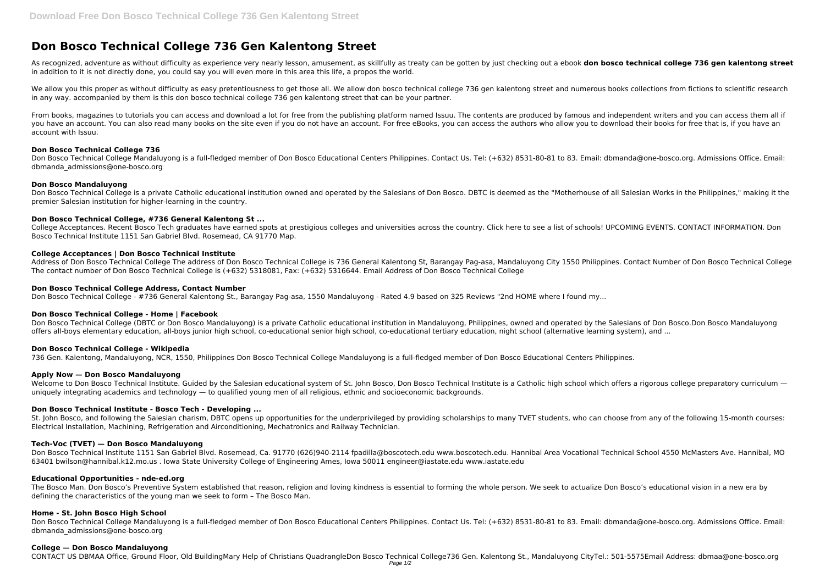# **Don Bosco Technical College 736 Gen Kalentong Street**

As recognized, adventure as without difficulty as experience very nearly lesson, amusement, as skillfully as treaty can be gotten by just checking out a ebook **don bosco technical college 736 gen kalentong street** in addition to it is not directly done, you could say you will even more in this area this life, a propos the world.

We allow you this proper as without difficulty as easy pretentiousness to get those all. We allow don bosco technical college 736 gen kalentong street and numerous books collections from fictions to scientific research in any way. accompanied by them is this don bosco technical college 736 gen kalentong street that can be your partner.

From books, magazines to tutorials you can access and download a lot for free from the publishing platform named Issuu. The contents are produced by famous and independent writers and you can access them all if you have an account. You can also read many books on the site even if you do not have an account. For free eBooks, you can access the authors who allow you to download their books for free that is, if you have an account with Issuu.

Don Bosco Technical College is a private Catholic educational institution owned and operated by the Salesians of Don Bosco. DBTC is deemed as the "Motherhouse of all Salesian Works in the Philippines," making it the premier Salesian institution for higher-learning in the country.

#### **Don Bosco Technical College 736**

Don Bosco Technical College Mandaluyong is a full-fledged member of Don Bosco Educational Centers Philippines. Contact Us. Tel: (+632) 8531-80-81 to 83. Email: dbmanda@one-bosco.org. Admissions Office. Email: dbmanda\_admissions@one-bosco.org

# **Don Bosco Mandaluyong**

# **Don Bosco Technical College, #736 General Kalentong St ...**

Welcome to Don Bosco Technical Institute. Guided by the Salesian educational system of St. John Bosco, Don Bosco Technical Institute is a Catholic high school which offers a rigorous college preparatory curriculum uniquely integrating academics and technology — to qualified young men of all religious, ethnic and socioeconomic backgrounds.

College Acceptances. Recent Bosco Tech graduates have earned spots at prestigious colleges and universities across the country. Click here to see a list of schools! UPCOMING EVENTS. CONTACT INFORMATION. Don Bosco Technical Institute 1151 San Gabriel Blvd. Rosemead, CA 91770 Map.

# **College Acceptances | Don Bosco Technical Institute**

Address of Don Bosco Technical College The address of Don Bosco Technical College is 736 General Kalentong St, Barangay Pag-asa, Mandaluyong City 1550 Philippines. Contact Number of Don Bosco Technical College The contact number of Don Bosco Technical College is (+632) 5318081, Fax: (+632) 5316644. Email Address of Don Bosco Technical College

# **Don Bosco Technical College Address, Contact Number**

Don Bosco Technical College - #736 General Kalentong St., Barangay Pag-asa, 1550 Mandaluyong - Rated 4.9 based on 325 Reviews "2nd HOME where I found my...

#### **Don Bosco Technical College - Home | Facebook**

Don Bosco Technical College (DBTC or Don Bosco Mandaluyong) is a private Catholic educational institution in Mandaluyong, Philippines, owned and operated by the Salesians of Don Bosco.Don Bosco Mandaluyong offers all-boys elementary education, all-boys junior high school, co-educational senior high school, co-educational tertiary education, night school (alternative learning system), and ...

#### **Don Bosco Technical College - Wikipedia**

736 Gen. Kalentong, Mandaluyong, NCR, 1550, Philippines Don Bosco Technical College Mandaluyong is a full-fledged member of Don Bosco Educational Centers Philippines.

#### **Apply Now — Don Bosco Mandaluyong**

#### **Don Bosco Technical Institute - Bosco Tech - Developing ...**

St. John Bosco, and following the Salesian charism, DBTC opens up opportunities for the underprivileged by providing scholarships to many TVET students, who can choose from any of the following 15-month courses: Electrical Installation, Machining, Refrigeration and Airconditioning, Mechatronics and Railway Technician.

## **Tech-Voc (TVET) — Don Bosco Mandaluyong**

Don Bosco Technical Institute 1151 San Gabriel Blvd. Rosemead, Ca. 91770 (626)940-2114 fpadilla@boscotech.edu www.boscotech.edu. Hannibal Area Vocational Technical School 4550 McMasters Ave. Hannibal, MO 63401 bwilson@hannibal.k12.mo.us . Iowa State University College of Engineering Ames, Iowa 50011 engineer@iastate.edu www.iastate.edu

#### **Educational Opportunities - nde-ed.org**

The Bosco Man. Don Bosco's Preventive System established that reason, religion and loving kindness is essential to forming the whole person. We seek to actualize Don Bosco's educational vision in a new era by defining the characteristics of the young man we seek to form – The Bosco Man.

#### **Home - St. John Bosco High School**

Don Bosco Technical College Mandaluyong is a full-fledged member of Don Bosco Educational Centers Philippines. Contact Us. Tel: (+632) 8531-80-81 to 83. Email: dbmanda@one-bosco.org. Admissions Office. Email: dbmanda\_admissions@one-bosco.org

#### **College — Don Bosco Mandaluyong**

CONTACT US DBMAA Office, Ground Floor, Old BuildingMary Help of Christians QuadrangleDon Bosco Technical College736 Gen. Kalentong St., Mandaluyong CityTel.: 501-5575Email Address: dbmaa@one-bosco.org